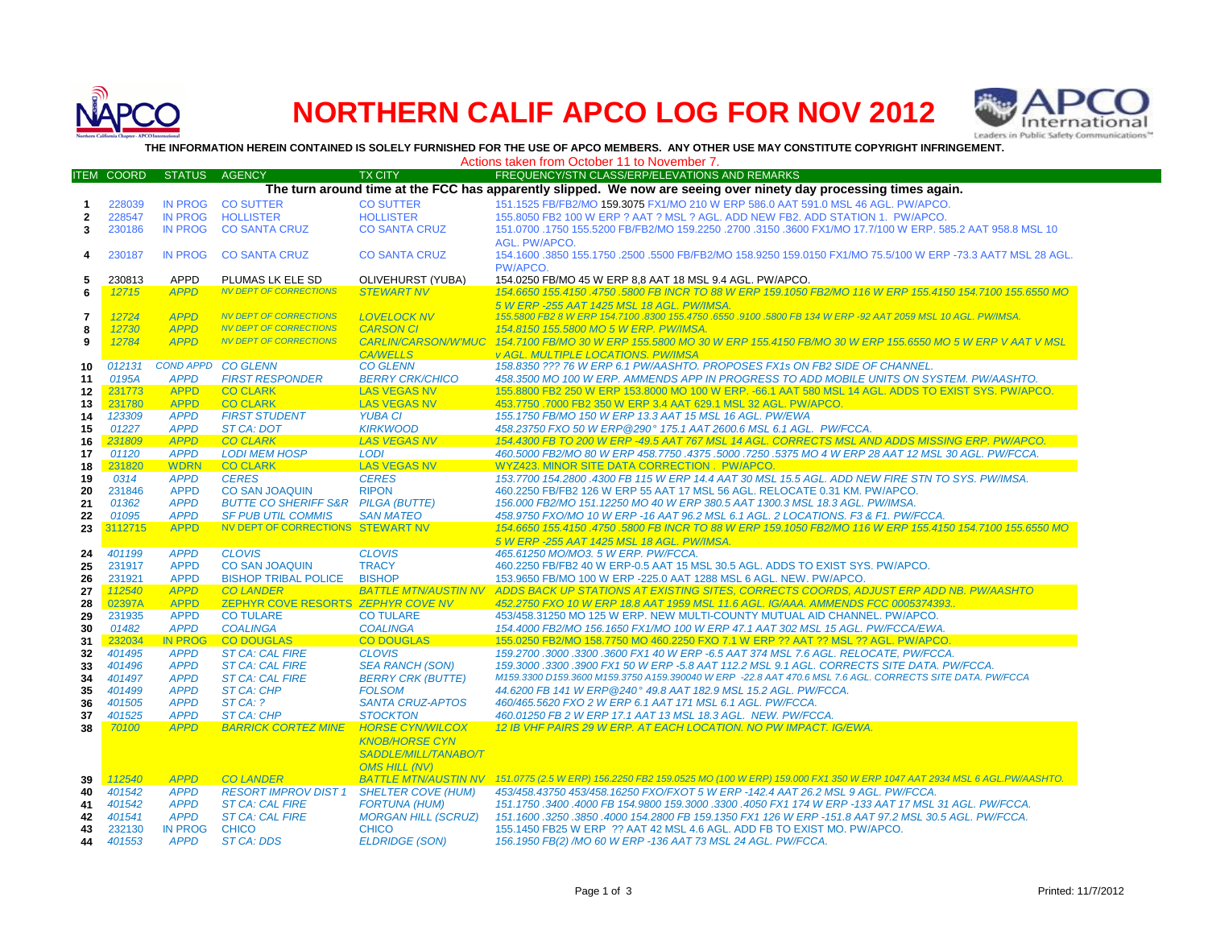

## **NORTHERN CALIF APCO LOG FOR NOV 2012**



**THE INFORMATION HEREIN CONTAINED IS SOLELY FURNISHED FOR THE USE OF APCO MEMBERS. ANY OTHER USE MAY CONSTITUTE COPYRIGHT INFRINGEMENT.**

|                | Actions taken from October 11 to November 7. |                            |                                                   |                                     |                                                                                                                                                                                                       |  |  |  |  |
|----------------|----------------------------------------------|----------------------------|---------------------------------------------------|-------------------------------------|-------------------------------------------------------------------------------------------------------------------------------------------------------------------------------------------------------|--|--|--|--|
|                | <b>ITEM COORD</b>                            | <b>STATUS</b>              | <b>AGENCY</b>                                     | <b>TX CITY</b>                      | FREQUENCY/STN CLASS/ERP/ELEVATIONS AND REMARKS                                                                                                                                                        |  |  |  |  |
|                |                                              |                            |                                                   |                                     | The turn around time at the FCC has apparently slipped. We now are seeing over ninety day processing times again.                                                                                     |  |  |  |  |
| $\mathbf{1}$   | 228039                                       | <b>IN PROG</b>             | <b>CO SUTTER</b>                                  | <b>CO SUTTER</b>                    | 151.1525 FB/FB2/MO 159.3075 FX1/MO 210 W ERP 586.0 AAT 591.0 MSL 46 AGL, PW/APCO.                                                                                                                     |  |  |  |  |
| $\mathbf{2}$   | 228547                                       | <b>IN PROG</b>             | <b>HOLLISTER</b>                                  | <b>HOLLISTER</b>                    | 155.8050 FB2 100 W ERP ? AAT ? MSL ? AGL. ADD NEW FB2. ADD STATION 1. PW/APCO.                                                                                                                        |  |  |  |  |
| 3              | 230186                                       | <b>IN PROG</b>             | <b>CO SANTA CRUZ</b>                              | <b>CO SANTA CRUZ</b>                | 151.0700 .1750 155.5200 FB/FB2/MO 159.2250 .2700 .3150 .3600 FX1/MO 17.7/100 W ERP. 585.2 AAT 958.8 MSL 10                                                                                            |  |  |  |  |
|                |                                              |                            |                                                   |                                     | AGL. PW/APCO.                                                                                                                                                                                         |  |  |  |  |
|                | 230187                                       | <b>IN PROG</b>             | <b>CO SANTA CRUZ</b>                              | <b>CO SANTA CRUZ</b>                | 154.1600 .3850 155.1750 .2500 .5500 FB/FB2/MO 158.9250 159.0150 FX1/MO 75.5/100 W ERP -73.3 AAT7 MSL 28 AGL.                                                                                          |  |  |  |  |
| 4              |                                              |                            |                                                   |                                     | PW/APCO.                                                                                                                                                                                              |  |  |  |  |
|                |                                              | <b>APPD</b>                |                                                   |                                     |                                                                                                                                                                                                       |  |  |  |  |
| 5              | 230813                                       |                            | PLUMAS LK ELE SD<br><b>NV DEPT OF CORRECTIONS</b> | <b>OLIVEHURST (YUBA)</b>            | 154.0250 FB/MO 45 W ERP 8,8 AAT 18 MSL 9.4 AGL. PW/APCO.                                                                                                                                              |  |  |  |  |
| 6              | 12715                                        | <b>APPD</b>                |                                                   | <b>STEWART NV</b>                   | 154,6650 155,4150 ,4750 ,5800 FB INCR TO 88 W ERP 159,1050 FB2/MO 116 W ERP 155,4150 154,7100 155,6550 MO                                                                                             |  |  |  |  |
|                | 12724                                        | <b>APPD</b>                | <b>NV DEPT OF CORRECTIONS</b>                     | <b>LOVELOCK NV</b>                  | 5 W ERP -255 AAT 1425 MSL 18 AGL, PW/IMSA.<br>155.5800 FB2 8 W ERP 154.7100 .8300 155.4750 .6550 .9100 .5800 FB 134 W ERP -92 AAT 2059 MSL 10 AGL. PW/IMSA.                                           |  |  |  |  |
| $\overline{7}$ |                                              | <b>APPD</b>                | <b>NV DEPT OF CORRECTIONS</b>                     | <b>CARSON CI</b>                    | 154.8150 155.5800 MO 5 W ERP. PW/IMSA.                                                                                                                                                                |  |  |  |  |
| 8              | 12730<br>12784                               | <b>APPD</b>                | <b>NV DEPT OF CORRECTIONS</b>                     | <b>CARLIN/CARSON/W'MUC</b>          |                                                                                                                                                                                                       |  |  |  |  |
| 9              |                                              |                            |                                                   |                                     | 154.7100 FB/MO 30 W ERP 155.5800 MO 30 W ERP 155.4150 FB/MO 30 W ERP 155.6550 MO 5 W ERP V AAT V MSL                                                                                                  |  |  |  |  |
|                |                                              | <b>COND APPD</b>           |                                                   | <b>CA/WELLS</b>                     | <b>v AGL. MULTIPLE LOCATIONS. PW/IMSA</b>                                                                                                                                                             |  |  |  |  |
| 10             | 012131                                       |                            | <b>CO GLENN</b>                                   | <b>CO GLENN</b>                     | 158.8350 ??? 76 W ERP 6.1 PW/AASHTO. PROPOSES FX1s ON FB2 SIDE OF CHANNEL.                                                                                                                            |  |  |  |  |
| 11             | 0195A                                        | <b>APPD</b><br><b>APPD</b> | <b>FIRST RESPONDER</b><br><b>CO CLARK</b>         | <b>BERRY CRK/CHICO</b>              | 458.3500 MO 100 W ERP. AMMENDS APP IN PROGRESS TO ADD MOBILE UNITS ON SYSTEM. PW/AASHTO.<br>155,8800 FB2 250 W ERP 153,8000 MO 100 W ERP, -66.1 AAT 580 MSL 14 AGL, ADDS TO EXIST SYS, PW/APCO,       |  |  |  |  |
| 12             | 231773                                       |                            |                                                   | <b>LAS VEGAS NV</b>                 |                                                                                                                                                                                                       |  |  |  |  |
| 13             | 231780                                       | <b>APPD</b>                | <b>CO CLARK</b>                                   | <b>LAS VEGAS NV</b>                 | 453.7750.7000 FB2 350 W ERP 3.4 AAT 629.1 MSL 32 AGL. PW/APCO.                                                                                                                                        |  |  |  |  |
| 14             | 123309                                       | <b>APPD</b>                | <b>FIRST STUDENT</b>                              | <b>YUBA CI</b>                      | 155.1750 FB/MO 150 W ERP 13.3 AAT 15 MSL 16 AGL, PW/EWA                                                                                                                                               |  |  |  |  |
| 15             | 01227                                        | <b>APPD</b>                | <b>ST CA: DOT</b>                                 | <b>KIRKWOOD</b>                     | 458.23750 FXO 50 W ERP@290° 175.1 AAT 2600.6 MSL 6.1 AGL. PW/FCCA.                                                                                                                                    |  |  |  |  |
| 16             | 231809                                       | <b>APPD</b><br><b>APPD</b> | <b>CO CLARK</b>                                   | <b>LAS VEGAS NV</b>                 | 154.4300 FB TO 200 W ERP -49.5 AAT 767 MSL 14 AGL. CORRECTS MSL AND ADDS MISSING ERP. PW/APCO.<br>460.5000 FB2/MO 80 W ERP 458.7750 .4375 .5000 .7250 .5375 MO 4 W ERP 28 AAT 12 MSL 30 AGL. PW/FCCA. |  |  |  |  |
| 17             | 01120                                        |                            | <b>LODI MEM HOSP</b>                              | <b>LODI</b>                         |                                                                                                                                                                                                       |  |  |  |  |
| 18             | 231820                                       | <b>WDRN</b>                | <b>CO CLARK</b>                                   | <b>LAS VEGAS NV</b>                 | WYZ423, MINOR SITE DATA CORRECTION, PW/APCO.                                                                                                                                                          |  |  |  |  |
| 19             | 0314                                         | <b>APPD</b>                | <b>CERES</b>                                      | <b>CERES</b>                        | 153.7700 154.2800 .4300 FB 115 W ERP 14.4 AAT 30 MSL 15.5 AGL. ADD NEW FIRE STN TO SYS. PW/IMSA.                                                                                                      |  |  |  |  |
| 20             | 231846                                       | <b>APPD</b>                | <b>CO SAN JOAQUIN</b>                             | <b>RIPON</b>                        | 460.2250 FB/FB2 126 W ERP 55 AAT 17 MSL 56 AGL. RELOCATE 0.31 KM. PW/APCO.                                                                                                                            |  |  |  |  |
| 21<br>22       | 01362                                        | <b>APPD</b><br><b>APPD</b> | <b>BUTTE CO SHERIFF S&amp;R</b>                   | <b>PILGA (BUTTE)</b>                | 156.000 FB2/MO 151.12250 MO 40 W ERP 380.5 AAT 1300.3 MSL 18.3 AGL. PW/IMSA.                                                                                                                          |  |  |  |  |
| 23             | 01095                                        | <b>APPD</b>                | <b>SF PUB UTIL COMMIS</b>                         | <b>SAN MATEO</b>                    | 458.9750 FXO/MO 10 W ERP -16 AAT 96.2 MSL 6.1 AGL. 2 LOCATIONS. F3 & F1. PW/FCCA.                                                                                                                     |  |  |  |  |
|                | 3112715                                      |                            | NV DEPT OF CORRECTIONS STEWART NV                 |                                     | 154,6650 155,4150 ,4750 ,5800 FB INCR TO 88 W ERP 159,1050 FB2/MO 116 W ERP 155,4150 154,7100 155,6550 MO                                                                                             |  |  |  |  |
|                |                                              |                            |                                                   |                                     | 5 W ERP -255 AAT 1425 MSL 18 AGL, PW/IMSA.                                                                                                                                                            |  |  |  |  |
| 24             | 401199<br>231917                             | <b>APPD</b><br><b>APPD</b> | <b>CLOVIS</b><br><b>CO SAN JOAQUIN</b>            | <b>CLOVIS</b><br><b>TRACY</b>       | 465.61250 MO/MO3. 5 W ERP. PW/FCCA.                                                                                                                                                                   |  |  |  |  |
| 25             | 231921                                       | <b>APPD</b>                | <b>BISHOP TRIBAL POLICE</b>                       | <b>BISHOP</b>                       | 460.2250 FB/FB2 40 W ERP-0.5 AAT 15 MSL 30.5 AGL. ADDS TO EXIST SYS. PW/APCO.                                                                                                                         |  |  |  |  |
| 26<br>27       | 112540                                       | <b>APPD</b>                | <b>COLANDER</b>                                   | <b>BATTLE MTN/AUSTIN NV</b>         | 153.9650 FB/MO 100 W ERP -225.0 AAT 1288 MSL 6 AGL. NEW. PW/APCO.<br>ADDS BACK UP STATIONS AT EXISTING SITES, CORRECTS COORDS, ADJUST ERP ADD NB. PW/AASHTO                                           |  |  |  |  |
|                | 02397A                                       | <b>APPD</b>                | ZEPHYR COVE RESORTS ZEPHYR COVE NV                |                                     | 452.2750 FXO 10 W ERP 18.8 AAT 1959 MSL 11.6 AGL. IG/AAA. AMMENDS FCC 0005374393                                                                                                                      |  |  |  |  |
| 28             |                                              | <b>APPD</b>                |                                                   |                                     | 453/458.31250 MO 125 W ERP. NEW MULTI-COUNTY MUTUAL AID CHANNEL. PW/APCO.                                                                                                                             |  |  |  |  |
| 29<br>30       | 231935<br>01482                              | <b>APPD</b>                | <b>CO TULARE</b><br><b>COALINGA</b>               | <b>CO TULARE</b><br><b>COALINGA</b> | 154.4000 FB2/MO 156.1650 FX1/MO 100 W ERP 47.1 AAT 302 MSL 15 AGL. PW/FCCA/EWA.                                                                                                                       |  |  |  |  |
| 31             | 232034                                       | <b>IN PROG</b>             | <b>CO DOUGLAS</b>                                 | <b>CO DOUGLAS</b>                   | 155.0250 FB2/MO 158.7750 MO 460.2250 FXO 7.1 W ERP ?? AAT ?? MSL ?? AGL. PW/APCO.                                                                                                                     |  |  |  |  |
|                | 401495                                       | <b>APPD</b>                | <b>ST CA: CAL FIRE</b>                            | <b>CLOVIS</b>                       | 159.2700.3000.3300.3600 FX1 40 W ERP -6.5 AAT 374 MSL 7.6 AGL. RELOCATE. PW/FCCA.                                                                                                                     |  |  |  |  |
| 32<br>33       | 401496                                       | <b>APPD</b>                | <b>ST CA: CAL FIRE</b>                            | <b>SEA RANCH (SON)</b>              | 159.3000 .3300 .3900 FX1 50 W ERP -5.8 AAT 112.2 MSL 9.1 AGL. CORRECTS SITE DATA, PW/FCCA                                                                                                             |  |  |  |  |
| 34             | 401497                                       | <b>APPD</b>                | <b>ST CA: CAL FIRE</b>                            | <b>BERRY CRK (BUTTE)</b>            | M159.3300 D159.3600 M159.3750 A159.390040 W ERP -22.8 AAT 470.6 MSL 7.6 AGL. CORRECTS SITE DATA. PW/FCCA                                                                                              |  |  |  |  |
| 35             | 401499                                       | <b>APPD</b>                | <b>ST CA: CHP</b>                                 | <b>FOLSOM</b>                       | 44.6200 FB 141 W ERP @240° 49.8 AAT 182.9 MSL 15.2 AGL. PW/FCCA.                                                                                                                                      |  |  |  |  |
| 36             | 401505                                       | <b>APPD</b>                | STCA: ?                                           | <b>SANTA CRUZ-APTOS</b>             | 460/465.5620 FXO 2 W ERP 6.1 AAT 171 MSL 6.1 AGL, PW/FCCA.                                                                                                                                            |  |  |  |  |
| 37             | 401525                                       | <b>APPD</b>                | ST CA: CHP                                        | <b>STOCKTON</b>                     | 460.01250 FB 2 W ERP 17.1 AAT 13 MSL 18.3 AGL. NEW. PW/FCCA.                                                                                                                                          |  |  |  |  |
| 38             | 70100                                        | <b>APPD</b>                | <b>BARRICK CORTEZ MINE</b>                        | <b>HORSE CYN/WILCOX</b>             | 12 IB VHF PAIRS 29 W ERP. AT EACH LOCATION. NO PW IMPACT. IG/EWA.                                                                                                                                     |  |  |  |  |
|                |                                              |                            |                                                   |                                     |                                                                                                                                                                                                       |  |  |  |  |
|                |                                              |                            |                                                   | <b>KNOB/HORSE CYN</b>               |                                                                                                                                                                                                       |  |  |  |  |
|                |                                              |                            |                                                   | SADDLE/MILL/TANABO/T                |                                                                                                                                                                                                       |  |  |  |  |
|                |                                              |                            |                                                   | <b>OMS HILL (NV)</b>                |                                                                                                                                                                                                       |  |  |  |  |
| 39             | 112540                                       | <b>APPD</b>                | <b>CO LANDER</b>                                  | <b>BATTLE MTN/AUSTIN NV</b>         | 151.0775 (2.5 W ERP) 156.2250 FB2 159.0525 MO (100 W ERP) 159.000 FX1 350 W ERP 1047 AAT 2934 MSL 6 AGL.PW/AASHTO.                                                                                    |  |  |  |  |
| 40             | 401542                                       | <b>APPD</b>                | <b>RESORT IMPROV DIST 1</b>                       | <b>SHELTER COVE (HUM)</b>           | 453/458.43750 453/458.16250 FXO/FXOT 5 W ERP -142.4 AAT 26.2 MSL 9 AGL. PW/FCCA.                                                                                                                      |  |  |  |  |
| 41             | 401542                                       | <b>APPD</b>                | <b>ST CA: CAL FIRE</b>                            | <b>FORTUNA (HUM)</b>                | 151.1750 .3400 .4000 FB 154.9800 159.3000 .3300 .4050 FX1 174 W ERP -133 AAT 17 MSL 31 AGL. PW/FCCA.                                                                                                  |  |  |  |  |
| 42             | 401541                                       | <b>APPD</b>                | <b>ST CA: CAL FIRE</b>                            | <b>MORGAN HILL (SCRUZ)</b>          | 151.1600.3250.3850.4000 154.2800 FB 159.1350 FX1 126 W ERP -151.8 AAT 97.2 MSL 30.5 AGL. PW/FCCA.                                                                                                     |  |  |  |  |
| 43             | 232130                                       | <b>IN PROG</b>             | <b>CHICO</b>                                      | <b>CHICO</b>                        | 155.1450 FB25 W ERP ?? AAT 42 MSL 4.6 AGL, ADD FB TO EXIST MO, PW/APCO.                                                                                                                               |  |  |  |  |
| 44             | 401553                                       | <b>APPD</b>                | <b>ST CA: DDS</b>                                 | <b>ELDRIDGE (SON)</b>               | 156.1950 FB(2) /MO 60 W ERP -136 AAT 73 MSL 24 AGL, PW/FCCA.                                                                                                                                          |  |  |  |  |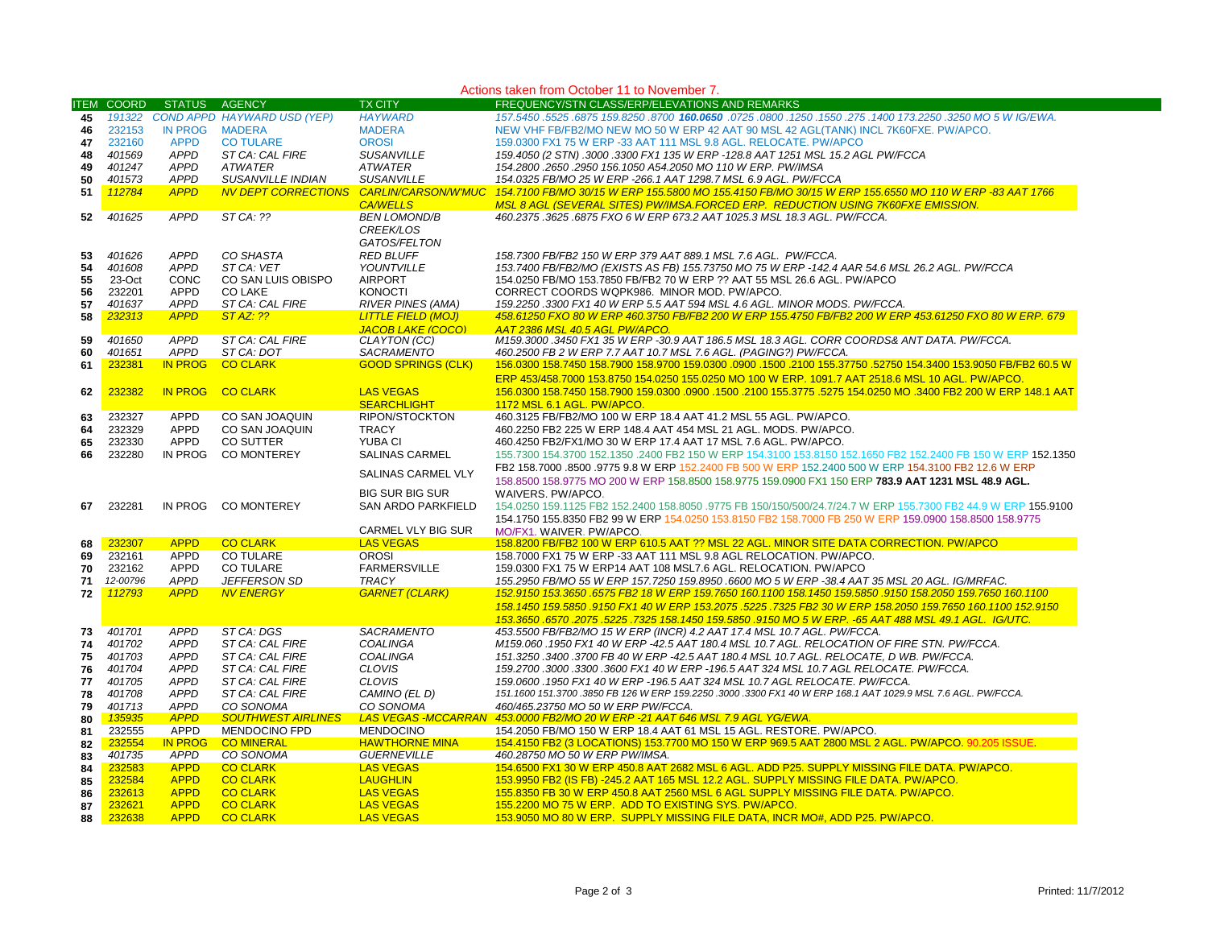|    | Actions taken from October 11 to November 7. |                |                             |                            |                                                                                                                 |  |  |  |
|----|----------------------------------------------|----------------|-----------------------------|----------------------------|-----------------------------------------------------------------------------------------------------------------|--|--|--|
|    | <b>ITEM COORD</b>                            | <b>STATUS</b>  | <b>AGENCY</b>               | <b>TX CITY</b>             | FREQUENCY/STN CLASS/ERP/ELEVATIONS AND REMARKS                                                                  |  |  |  |
| 45 | 191322                                       |                | COND APPD HAYWARD USD (YEP) | <b>HAYWARD</b>             | 157.5450 .3250 MO 5 W IG/EWA. 157.5450 .275 .0800 .1250 .1250 .275 .0800 .1250 .275 .6470 .3250 .3250 .6875 .   |  |  |  |
| 46 | 232153                                       | <b>IN PROG</b> | <b>MADERA</b>               | <b>MADERA</b>              | NEW VHF FB/FB2/MO NEW MO 50 W ERP 42 AAT 90 MSL 42 AGL(TANK) INCL 7K60FXE. PW/APCO.                             |  |  |  |
| 47 | 232160                                       | <b>APPD</b>    | <b>CO TULARE</b>            | <b>OROSI</b>               | 159.0300 FX1 75 W ERP -33 AAT 111 MSL 9.8 AGL. RELOCATE. PW/APCO                                                |  |  |  |
| 48 | 401569                                       | <b>APPD</b>    | ST CA: CAL FIRE             | <b>SUSANVILLE</b>          | 159.4050 (2 STN) .3000 .3300 FX1 135 W ERP -128.8 AAT 1251 MSL 15.2 AGL PW/FCCA                                 |  |  |  |
|    |                                              |                |                             |                            |                                                                                                                 |  |  |  |
| 49 | 401247                                       | <b>APPD</b>    | <b>ATWATER</b>              | <b>ATWATER</b>             | 154.2800 .2650 .2950 156.1050 A54.2050 MO 110 W ERP. PW/IMSA                                                    |  |  |  |
| 50 | 401573                                       | <b>APPD</b>    | <b>SUSANVILLE INDIAN</b>    | <b>SUSANVILLE</b>          | 154.0325 FB/MO 25 W ERP -266.1 AAT 1298.7 MSL 6.9 AGL. PW/FCCA                                                  |  |  |  |
| 51 | 112784                                       | <b>APPD</b>    | <b>NV DEPT CORRECTIONS</b>  | <b>CARLIN/CARSON/W'MUC</b> | 154.7100 FB/MO 30/15 W ERP 155.5800 MO 155.4150 FB/MO 30/15 W ERP 155.6550 MO 110 W ERP -83 AAT 1766            |  |  |  |
|    |                                              |                |                             | <b>CA/WELLS</b>            | MSL 8 AGL (SEVERAL SITES) PW/IMSA.FORCED ERP. REDUCTION USING 7K60FXE EMISSION.                                 |  |  |  |
| 52 | 401625                                       | <b>APPD</b>    | ST CA: ??                   | <b>BEN LOMOND/B</b>        | 460.2375 .3625 .6875 FXO 6 W ERP 673.2 AAT 1025.3 MSL 18.3 AGL. PW/FCCA.                                        |  |  |  |
|    |                                              |                |                             | <b>CREEK/LOS</b>           |                                                                                                                 |  |  |  |
|    |                                              |                |                             | GATOS/FELTON               |                                                                                                                 |  |  |  |
| 53 | 401626                                       | <b>APPD</b>    | CO SHASTA                   | <b>RED BLUFF</b>           | 158.7300 FB/FB2 150 W ERP 379 AAT 889.1 MSL 7.6 AGL. PW/FCCA.                                                   |  |  |  |
| 54 | 401608                                       | <b>APPD</b>    | ST CA: VET                  | YOUNTVILLE                 | 153.7400 FB/FB2/MO (EXISTS AS FB) 155.73750 MO 75 W ERP -142.4 AAR 54.6 MSL 26.2 AGL. PW/FCCA                   |  |  |  |
| 55 | 23-Oct                                       | <b>CONC</b>    | CO SAN LUIS OBISPO          | <b>AIRPORT</b>             | 154.0250 FB/MO 153.7850 FB/FB2 70 W ERP ?? AAT 55 MSL 26.6 AGL. PW/APCO                                         |  |  |  |
| 56 | 232201                                       | APPD           | <b>CO LAKE</b>              | <b>KONOCTI</b>             | CORRECT COORDS WQPK986. MINOR MOD. PW/APCO.                                                                     |  |  |  |
| 57 | 401637                                       | <b>APPD</b>    | ST CA: CAL FIRE             | <b>RIVER PINES (AMA)</b>   | 159.2250 .3300 FX1 40 W ERP 5.5 AAT 594 MSL 4.6 AGL. MINOR MODS. PW/FCCA.                                       |  |  |  |
| 58 | 232313                                       | <b>APPD</b>    | ST AZ: ??                   | <b>LITTLE FIELD (MOJ)</b>  | 458.61250 FXO 80 W ERP 460.3750 FB/FB2 200 W ERP 155.4750 FB/FB2 200 W ERP 453.61250 FXO 80 W ERP. 679          |  |  |  |
|    |                                              |                |                             | <b>JACOB LAKE (COCO)</b>   | AAT 2386 MSL 40.5 AGL PW/APCO.                                                                                  |  |  |  |
| 59 | 401650                                       | <b>APPD</b>    | ST CA: CAL FIRE             | CLAYTON (CC)               | M159.3000.3450 FX1 35 W ERP -30.9 AAT 186.5 MSL 18.3 AGL. CORR COORDS& ANT DATA. PW/FCCA.                       |  |  |  |
| 60 | 401651                                       | <b>APPD</b>    | ST CA: DOT                  | SACRAMENTO                 | 460.2500 FB 2 W ERP 7.7 AAT 10.7 MSL 7.6 AGL. (PAGING?) PW/FCCA.                                                |  |  |  |
| 61 | 232381                                       | <b>IN PROG</b> | <b>CO CLARK</b>             | <b>GOOD SPRINGS (CLK)</b>  | 156.0300 158.7450 158.7900 158.9700 159.0300 .0900 .1500 .2100 155.37750 .52750 154.3400 153.9050 FB/FB2 60.5 W |  |  |  |
|    |                                              |                |                             |                            | ERP 453/458.7000 153.8750 154.0250 155.0250 MO 100 W ERP. 1091.7 AAT 2518.6 MSL 10 AGL. PW/APCO.                |  |  |  |
| 62 | 232382                                       | <b>IN PROG</b> | <b>CO CLARK</b>             | <b>LAS VEGAS</b>           | 158.0300 158.7450 158.7900 159.0300 .0900 .1500 .2100 155.3775 .5275 154.0250 MO .3400 FB2 200 W ERP 148.1 AAT  |  |  |  |
|    |                                              |                |                             |                            |                                                                                                                 |  |  |  |
|    |                                              |                |                             | <b>SEARCHLIGHT</b>         | 1172 MSL 6.1 AGL, PW/APCO.                                                                                      |  |  |  |
| 63 | 232327                                       | APPD           | CO SAN JOAQUIN              | RIPON/STOCKTON             | 460.3125 FB/FB2/MO 100 W ERP 18.4 AAT 41.2 MSL 55 AGL. PW/APCO.                                                 |  |  |  |
| 64 | 232329                                       | <b>APPD</b>    | CO SAN JOAQUIN              | <b>TRACY</b>               | 460.2250 FB2 225 W ERP 148.4 AAT 454 MSL 21 AGL. MODS. PW/APCO.                                                 |  |  |  |
| 65 | 232330                                       | APPD           | <b>CO SUTTER</b>            | YUBA CI                    | 460.4250 FB2/FX1/MO 30 W ERP 17.4 AAT 17 MSL 7.6 AGL. PW/APCO.                                                  |  |  |  |
| 66 | 232280                                       | IN PROG        | <b>CO MONTEREY</b>          | <b>SALINAS CARMEL</b>      | 155.7300 154.3700 152.1350 .2400 FB2 150 W ERP 154.3100 153.8150 152.1650 FB2 152.2400 FB 150 W ERP 152.1350    |  |  |  |
|    |                                              |                |                             | SALINAS CARMEL VLY         | FB2 158.7000 .8500 .9775 9.8 W ERP 152.2400 FB 500 W ERP 152.2400 500 W ERP 154.3100 FB2 12.6 W ERP             |  |  |  |
|    |                                              |                |                             |                            | 158.8500 158.9775 MO 200 W ERP 158.8500 158.9775 159.0900 FX1 150 ERP 783.9 AAT 1231 MSL 48.9 AGL.              |  |  |  |
|    |                                              |                |                             | <b>BIG SUR BIG SUR</b>     | WAIVERS. PW/APCO.                                                                                               |  |  |  |
| 67 | 232281                                       | IN PROG        | <b>CO MONTEREY</b>          | SAN ARDO PARKFIELD         | 154.0250 159.1125 FB2 152.2400 158.8050 .9775 FB 150/150/500/24.7/24.7 W ERP 155.7300 FB2 44.9 W ERP 155.9100   |  |  |  |
|    |                                              |                |                             |                            | 154.1750 155.8350 FB2 99 W ERP 154.0250 153.8150 FB2 158.7000 FB 250 W ERP 159.0900 158.8500 158.9775           |  |  |  |
|    |                                              |                |                             | CARMEL VLY BIG SUR         | MO/FX1, WAIVER, PW/APCO.                                                                                        |  |  |  |
| 68 | 232307                                       | <b>APPD</b>    | <b>CO CLARK</b>             | <b>LAS VEGAS</b>           | 158.8200 FB/FB2 100 W ERP 610.5 AAT ?? MSL 22 AGL. MINOR SITE DATA CORRECTION. PW/APCO                          |  |  |  |
| 69 | 232161                                       | <b>APPD</b>    | <b>CO TULARE</b>            | <b>OROSI</b>               | 158,7000 FX1 75 W ERP -33 AAT 111 MSL 9.8 AGL RELOCATION, PW/APCO.                                              |  |  |  |
| 70 | 232162                                       | <b>APPD</b>    | <b>CO TULARE</b>            | <b>FARMERSVILLE</b>        | 159.0300 FX1 75 W ERP14 AAT 108 MSL7.6 AGL. RELOCATION. PW/APCO                                                 |  |  |  |
| 71 | 12-00796                                     | <b>APPD</b>    | JEFFERSON SD                | <b>TRACY</b>               | 155.2950 FB/MO 55 W ERP 157.7250 159.8950 .6600 MO 5 W ERP -38.4 AAT 35 MSL 20 AGL. IG/MRFAC.                   |  |  |  |
| 72 | 112793                                       | <b>APPD</b>    | <b>NV ENERGY</b>            | <b>GARNET (CLARK)</b>      | 152.9150 153.3650 .6575 FB2 18 W ERP 159.7650 160.1100 158.1450 159.5850 .9150 158.2050 159.7650 160.1100       |  |  |  |
|    |                                              |                |                             |                            |                                                                                                                 |  |  |  |
|    |                                              |                |                             |                            | 158.1450 159.5850 .9150 FX1 40 W ERP 153.2075 .5225 .7325 FB2 30 W ERP 158.2050 159.7650 160.1100 152.9150      |  |  |  |
|    |                                              |                |                             |                            | 153.3650 .6570 .2075 .5225 .7325 158.1450 159.5850 .9150 MO 5 W ERP. -65 AAT 488 MSL 49.1 AGL. IG/UTC.          |  |  |  |
| 73 | 401701                                       | <b>APPD</b>    | ST CA: DGS                  | <b>SACRAMENTO</b>          | 453.5500 FB/FB2/MO 15 W ERP (INCR) 4.2 AAT 17.4 MSL 10.7 AGL. PW/FCCA.                                          |  |  |  |
| 74 | 401702                                       | <b>APPD</b>    | ST CA: CAL FIRE             | COALINGA                   | M159.060 .1950 FX1 40 W ERP -42.5 AAT 180.4 MSL 10.7 AGL. RELOCATION OF FIRE STN. PW/FCCA.                      |  |  |  |
| 75 | 401703                                       | <b>APPD</b>    | ST CA: CAL FIRE             | COALINGA                   | 151.3250 .3400 .3700 FB 40 W ERP -42.5 AAT 180.4 MSL 10.7 AGL. RELOCATE, D WB. PW/FCCA.                         |  |  |  |
| 76 | 401704                                       | <b>APPD</b>    | ST CA: CAL FIRE             | <b>CLOVIS</b>              | 159.2700.3000.3300.3600 FX1 40 W ERP -196.5 AAT 324 MSL 10.7 AGL RELOCATE. PW/FCCA.                             |  |  |  |
| 77 | 401705                                       | <b>APPD</b>    | ST CA: CAL FIRE             | <b>CLOVIS</b>              | 159.0600.1950 FX1 40 W ERP -196.5 AAT 324 MSL 10.7 AGL RELOCATE. PW/FCCA.                                       |  |  |  |
| 78 | 401708                                       | <b>APPD</b>    | ST CA: CAL FIRE             | CAMINO (EL D)              | 151.1600 151.3700 .3850 FB 126 W ERP 159.2250 .3000 .3300 FX1 40 W ERP 168.1 AAT 1029.9 MSL 7.6 AGL. PW/FCCA.   |  |  |  |
| 79 | 401713                                       | <b>APPD</b>    | CO SONOMA                   | CO SONOMA                  | 460/465.23750 MO 50 W ERP PW/FCCA.                                                                              |  |  |  |
| 80 | 135935                                       | <b>APPD</b>    | <b>SOUTHWEST AIRLINES</b>   | <b>LAS VEGAS -MCCARRAN</b> | 453.0000 FB2/MO 20 W ERP -21 AAT 646 MSL 7.9 AGL YG/EWA.                                                        |  |  |  |
| 81 | 232555                                       | APPD           | <b>MENDOCINO FPD</b>        | <b>MENDOCINO</b>           | 154.2050 FB/MO 150 W ERP 18.4 AAT 61 MSL 15 AGL. RESTORE. PW/APCO.                                              |  |  |  |
| 82 | 232554                                       | <b>IN PROG</b> | <b>CO MINERAL</b>           | <b>HAWTHORNE MINA</b>      | 154.4150 FB2 (3 LOCATIONS) 153.7700 MO 150 W ERP 969.5 AAT 2800 MSL 2 AGL. PW/APCO. 90.205 ISSUE.               |  |  |  |
| 83 | 401735                                       | APPD           | CO SONOMA                   | <b>GUERNEVILLE</b>         | 460.28750 MO 50 W ERP PW/IMSA.                                                                                  |  |  |  |
| 84 | 232583                                       | <b>APPD</b>    | <b>CO CLARK</b>             | <b>LAS VEGAS</b>           | 154.6500 FX1 30 W ERP 450.8 AAT 2682 MSL 6 AGL. ADD P25. SUPPLY MISSING FILE DATA. PW/APCO.                     |  |  |  |
| 85 | 232584                                       | <b>APPD</b>    | <b>CO CLARK</b>             | <b>LAUGHLIN</b>            | 153.9950 FB2 (IS FB) -245.2 AAT 165 MSL 12.2 AGL. SUPPLY MISSING FILE DATA. PW/APCO.                            |  |  |  |
| 86 | 232613                                       | <b>APPD</b>    | <b>CO CLARK</b>             | <b>LAS VEGAS</b>           | 155.8350 FB 30 W ERP 450.8 AAT 2560 MSL 6 AGL SUPPLY MISSING FILE DATA. PW/APCO.                                |  |  |  |
| 87 | 232621                                       | <b>APPD</b>    | <b>CO CLARK</b>             | <b>LAS VEGAS</b>           | 155.2200 MO 75 W ERP. ADD TO EXISTING SYS. PW/APCO.                                                             |  |  |  |
| 88 | 232638                                       | <b>APPD</b>    | <b>CO CLARK</b>             | <b>LAS VEGAS</b>           | 153.9050 MO 80 W ERP. SUPPLY MISSING FILE DATA, INCR MO#, ADD P25. PW/APCO.                                     |  |  |  |
|    |                                              |                |                             |                            |                                                                                                                 |  |  |  |